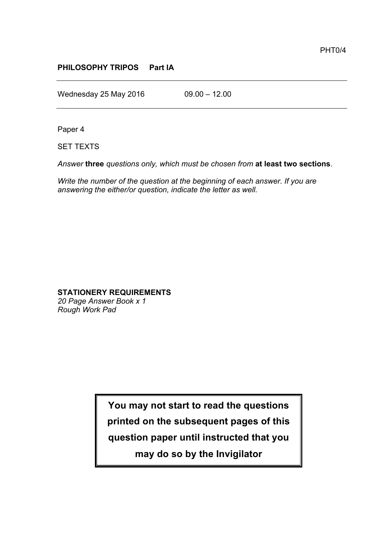## **PHILOSOPHY TRIPOS Part IA**

Wednesday 25 May 2016 09.00 - 12.00

Paper 4

SET TEXTS

*Answer* **three** *questions only, which must be chosen from* **at least two sections**.

*Write the number of the question at the beginning of each answer. If you are answering the either/or question, indicate the letter as well.*

# **STATIONERY REQUIREMENTS**

*20 Page Answer Book x 1 Rough Work Pad*

> **You may not start to read the questions printed on the subsequent pages of this question paper until instructed that you may do so by the Invigilator**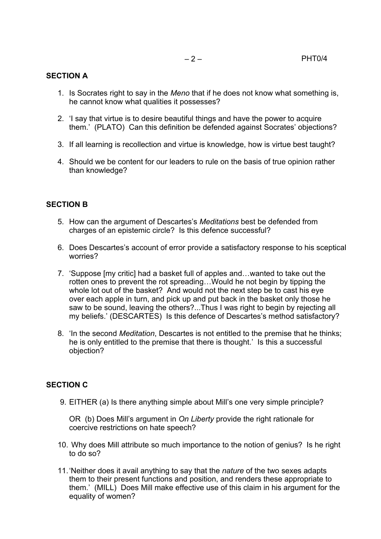#### **SECTION A**

- 1. Is Socrates right to say in the *Meno* that if he does not know what something is, he cannot know what qualities it possesses?
- 2. 'I say that virtue is to desire beautiful things and have the power to acquire them.' (PLATO) Can this definition be defended against Socrates' objections?
- 3. If all learning is recollection and virtue is knowledge, how is virtue best taught?
- 4. Should we be content for our leaders to rule on the basis of true opinion rather than knowledge?

#### **SECTION B**

- 5. How can the argument of Descartes's *Meditations* best be defended from charges of an epistemic circle? Is this defence successful?
- 6. Does Descartes's account of error provide a satisfactory response to his sceptical worries?
- 7. 'Suppose [my critic] had a basket full of apples and…wanted to take out the rotten ones to prevent the rot spreading…Would he not begin by tipping the whole lot out of the basket? And would not the next step be to cast his eye over each apple in turn, and pick up and put back in the basket only those he saw to be sound, leaving the others?...Thus I was right to begin by rejecting all my beliefs.' (DESCARTES) Is this defence of Descartes's method satisfactory?
- 8. 'In the second *Meditation*, Descartes is not entitled to the premise that he thinks; he is only entitled to the premise that there is thought.' Is this a successful objection?

## **SECTION C**

9. EITHER (a) Is there anything simple about Mill's one very simple principle?

OR (b) Does Mill's argument in *On Liberty* provide the right rationale for coercive restrictions on hate speech?

- 10. Why does Mill attribute so much importance to the notion of genius? Is he right to do so?
- 11.'Neither does it avail anything to say that the *nature* of the two sexes adapts them to their present functions and position, and renders these appropriate to them.' (MILL) Does Mill make effective use of this claim in his argument for the equality of women?